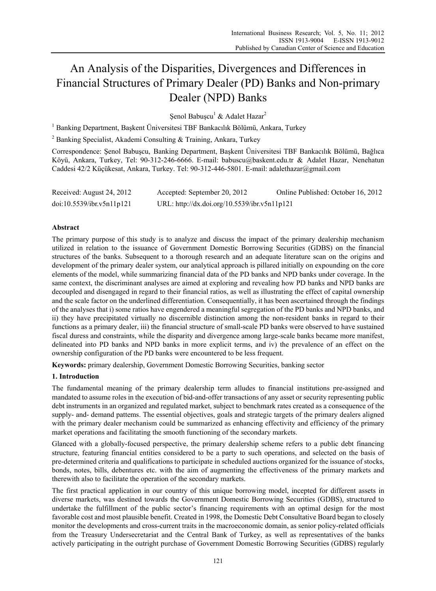# An Analysis of the Disparities, Divergences and Differences in Financial Structures of Primary Dealer (PD) Banks and Non-primary Dealer (NPD) Banks

Şenol Babuşcu<sup>1</sup> & Adalet Hazar<sup>2</sup>

1 Banking Department, Başkent Üniversitesi TBF Bankacılık Bölümü, Ankara, Turkey

<sup>2</sup> Banking Specialist, Akademi Consulting & Training, Ankara, Turkey

Correspondence: Şenol Babuşcu, Banking Department, Başkent Üniversitesi TBF Bankacılık Bölümü, Bağlıca Köyü, Ankara, Turkey, Tel: 90-312-246-6666. E-mail: babuscu@baskent.edu.tr & Adalet Hazar, Nenehatun Caddesi 42/2 Küçükesat, Ankara, Turkey. Tel: 90-312-446-5801. E-mail: adalethazar@gmail.com

| Received: August 24, 2012 | Accepted: September 20, 2012                 | Online Published: October 16, 2012 |
|---------------------------|----------------------------------------------|------------------------------------|
| doi:10.5539/ibr.v5n11p121 | URL: http://dx.doi.org/10.5539/ibr.v5n11p121 |                                    |

# **Abstract**

The primary purpose of this study is to analyze and discuss the impact of the primary dealership mechanism utilized in relation to the issuance of Government Domestic Borrowing Securities (GDBS) on the financial structures of the banks. Subsequent to a thorough research and an adequate literature scan on the origins and development of the primary dealer system, our analytical approach is pillared initially on expounding on the core elements of the model, while summarizing financial data of the PD banks and NPD banks under coverage. In the same context, the discriminant analyses are aimed at exploring and revealing how PD banks and NPD banks are decoupled and disengaged in regard to their financial ratios, as well as illustrating the effect of capital ownership and the scale factor on the underlined differentiation. Consequentially, it has been ascertained through the findings of the analyses that i) some ratios have engendered a meaningful segregation of the PD banks and NPD banks, and ii) they have precipitated virtually no discernible distinction among the non-resident banks in regard to their functions as a primary dealer, iii) the financial structure of small-scale PD banks were observed to have sustained fiscal duress and constraints, while the disparity and divergence among large-scale banks became more manifest, delineated into PD banks and NPD banks in more explicit terms, and iv) the prevalence of an effect on the ownership configuration of the PD banks were encountered to be less frequent.

**Keywords:** primary dealership, Government Domestic Borrowing Securities, banking sector

# **1. Introduction**

The fundamental meaning of the primary dealership term alludes to financial institutions pre-assigned and mandated to assume roles in the execution of bid-and-offer transactions of any asset or security representing public debt instruments in an organized and regulated market, subject to benchmark rates created as a consequence of the supply- and- demand pattems. The essential objectives, goals and strategic targets of the primary dealers aligned with the primary dealer mechanism could be summarized as enhancing effectivity and efficiency of the primary market operations and facilitating the smooth functioning of the secondary markets.

Glanced with a globally-focused perspective, the primary dealership scheme refers to a public debt financing structure, featuring financial entities considered to be a party to such operations, and selected on the basis of pre-determined criteria and qualifications to participate in scheduled auctions organized for the issuance of stocks, bonds, notes, bills, debentures etc. with the aim of augmenting the effectiveness of the primary markets and therewith also to facilitate the operation of the secondary markets.

The first practical application in our country of this unique borrowing model, incepted for different assets in diverse markets, was destined towards the Government Domestic Borrowing Securities (GDBS), structured to undertake the fulfillment of the public sector's financing requirements with an optimal design for the most favorable cost and most plausible benefit. Created in 1998, the Domestic Debt Consultative Board began to closely monitor the developments and cross-current traits in the macroeconomic domain, as senior policy-related officials from the Treasury Undersecretariat and the Central Bank of Turkey, as well as representatives of the banks actively participating in the outright purchase of Government Domestic Borrowing Securities (GDBS) regularly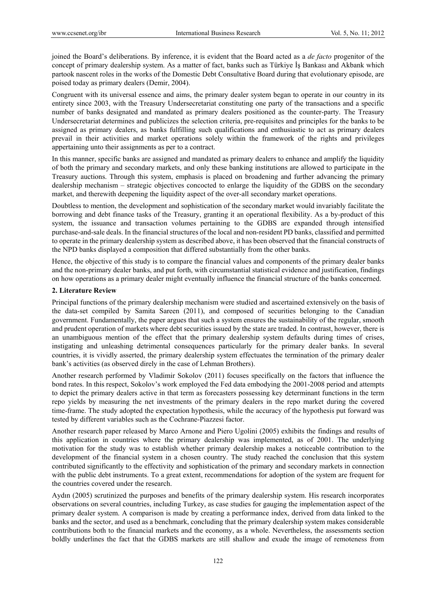joined the Board's deliberations. By inference, it is evident that the Board acted as a *de facto* progenitor of the concept of primary dealership system. As a matter of fact, banks such as Türkiye İş Bankası and Akbank which partook nascent roles in the works of the Domestic Debt Consultative Board during that evolutionary episode, are poised today as primary dealers (Demir, 2004).

Congruent with its universal essence and aims, the primary dealer system began to operate in our country in its entirety since 2003, with the Treasury Undersecretariat constituting one party of the transactions and a specific number of banks designated and mandated as primary dealers positioned as the counter-party. The Treasury Undersecretariat determines and publicizes the selection criteria, pre-requisites and principles for the banks to be assigned as primary dealers, as banks fulfilling such qualifications and enthusiastic to act as primary dealers prevail in their activities and market operations solely within the framework of the rights and privileges appertaining unto their assignments as per to a contract.

In this manner, specific banks are assigned and mandated as primary dealers to enhance and amplify the liquidity of both the primary and secondary markets, and only these banking institutions are allowed to participate in the Treasury auctions. Through this system, emphasis is placed on broadening and further advancing the primary dealership mechanism – strategic objectives concocted to enlarge the liquidity of the GDBS on the secondary market, and therewith deepening the liquidity aspect of the over-all secondary market operations.

Doubtless to mention, the development and sophistication of the secondary market would invariably facilitate the borrowing and debt finance tasks of the Treasury, granting it an operational flexibility. As a by-product of this system, the issuance and transaction volumes pertaining to the GDBS are expanded through intensified purchase-and-sale deals. In the financial structures of the local and non-resident PD banks, classified and permitted to operate in the primary dealership system as described above, it has been observed that the financial constructs of the NPD banks displayed a composition that differed substantially from the other banks.

Hence, the objective of this study is to compare the financial values and components of the primary dealer banks and the non-primary dealer banks, and put forth, with circumstantial statistical evidence and justification, findings on how operations as a primary dealer might eventually influence the financial structure of the banks concerned.

# **2. Literature Review**

Principal functions of the primary dealership mechanism were studied and ascertained extensively on the basis of the data-set compiled by Samita Sareen (2011), and composed of securities belonging to the Canadian government. Fundamentally, the paper argues that such a system ensures the sustainability of the regular, smooth and prudent operation of markets where debt securities issued by the state are traded. In contrast, however, there is an unambiguous mention of the effect that the primary dealership system defaults during times of crises, instigating and unleashing detrimental consequences particularly for the primary dealer banks. In several countries, it is vividly asserted, the primary dealership system effectuates the termination of the primary dealer bank's activities (as observed direly in the case of Lehman Brothers).

Another research performed by Vladimir Sokolov (2011) focuses specifically on the factors that influence the bond rates. In this respect, Sokolov's work employed the Fed data embodying the 2001-2008 period and attempts to depict the primary dealers active in that term as forecasters possessing key determinant functions in the term repo yields by measuring the net investments of the primary dealers in the repo market during the covered time-frame. The study adopted the expectation hypothesis, while the accuracy of the hypothesis put forward was tested by different variables such as the Cochrane-Piazzesi factor.

Another research paper released by Marco Arnone and Piero Ugolini (2005) exhibits the findings and results of this application in countries where the primary dealership was implemented, as of 2001. The underlying motivation for the study was to establish whether primary dealership makes a noticeable contribution to the development of the financial system in a chosen country. The study reached the conclusion that this system contributed significantly to the effectivity and sophistication of the primary and secondary markets in connection with the public debt instruments. To a great extent, recommendations for adoption of the system are frequent for the countries covered under the research.

Aydın (2005) scrutinized the purposes and benefits of the primary dealership system. His research incorporates observations on several countries, including Turkey, as case studies for gauging the implementation aspect of the primary dealer system. A comparison is made by creating a performance index, derived from data linked to the banks and the sector, and used as a benchmark, concluding that the primary dealership system makes considerable contributions both to the financial markets and the economy, as a whole. Nevertheless, the assessments section boldly underlines the fact that the GDBS markets are still shallow and exude the image of remoteness from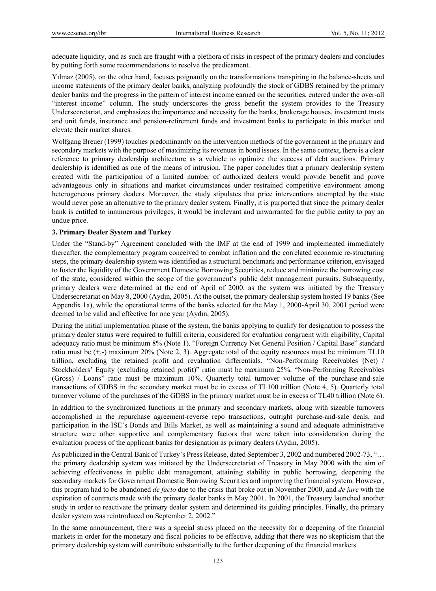adequate liquidity, and as such are fraught with a plethora of risks in respect of the primary dealers and concludes by putting forth some recommendations to resolve the predicament.

Yılmaz (2005), on the other hand, focuses poignantly on the transformations transpiring in the balance-sheets and income statements of the primary dealer banks, analyzing profoundly the stock of GDBS retained by the primary dealer banks and the progress in the pattern of interest income earned on the securities, entered under the over-all "interest income" column. The study underscores the gross benefit the system provides to the Treasury Undersecretariat, and emphasizes the importance and necessity for the banks, brokerage houses, investment trusts and unit funds, insurance and pension-retirement funds and investment banks to participate in this market and elevate their market shares.

Wolfgang Breuer (1999) touches predominantly on the intervention methods of the government in the primary and secondary markets with the purpose of maximizing its revenues in bond issues. In the same context, there is a clear reference to primary dealership architecture as a vehicle to optimize the success of debt auctions. Primary dealership is identified as one of the means of intrusion. The paper concludes that a primary dealership system created with the participation of a limited number of authorized dealers would provide benefit and prove advantageous only in situations and market circumstances under restrained competitive environment among heterogeneous primary dealers. Moreover, the study stipulates that price interventions attempted by the state would never pose an alternative to the primary dealer system. Finally, it is purported that since the primary dealer bank is entitled to innumerous privileges, it would be irrelevant and unwarranted for the public entity to pay an undue price.

# **3. Primary Dealer System and Turkey**

Under the "Stand-by" Agreement concluded with the IMF at the end of 1999 and implemented immediately thereafter, the complementary program conceived to combat inflation and the correlated economic re-structuring steps, the primary dealership system was identified as a structural benchmark and performance criterion, envisaged to foster the liquidity of the Government Domestic Borrowing Securities, reduce and minimize the borrowing cost of the state, considered within the scope of the government's public debt management pursuits. Subsequently, primary dealers were determined at the end of April of 2000, as the system was initiated by the Treasury Undersecretariat on May 8, 2000 (Aydın, 2005). At the outset, the primary dealership system hosted 19 banks (See Appendix 1a), while the operational terms of the banks selected for the May 1, 2000-April 30, 2001 period were deemed to be valid and effective for one year (Aydın, 2005).

During the initial implementation phase of the system, the banks applying to qualify for designation to possess the primary dealer status were required to fulfill criteria, considered for evaluation congruent with eligibility; Capital adequacy ratio must be minimum 8% (Note 1). "Foreign Currency Net General Position / Capital Base" standard ratio must be (+,-) maximum 20% (Note 2, 3). Aggregate total of the equity resources must be minimum TL10 trillion, excluding the retained profit and revaluation differentials. "Non-Performing Receivables (Net) / Stockholders' Equity (excluding retained profit)" ratio must be maximum 25%. "Non-Performing Receivables (Gross) / Loans" ratio must be maximum 10%. Quarterly total turnover volume of the purchase-and-sale transactions of GDBS in the secondary market must be in excess of TL100 trillion (Note 4, 5). Quarterly total turnover volume of the purchases of the GDBS in the primary market must be in excess of TL40 trillion (Note 6).

In addition to the synchronized functions in the primary and secondary markets, along with sizeable turnovers accomplished in the repurchase agreement-reverse repo transactions, outright purchase-and-sale deals, and participation in the ISE's Bonds and Bills Market, as well as maintaining a sound and adequate administrative structure were other supportive and complementary factors that were taken into consideration during the evaluation process of the applicant banks for designation as primary dealers (Aydın, 2005).

As publicized in the Central Bank of Turkey's Press Release, dated September 3, 2002 and numbered 2002-73, "… the primary dealership system was initiated by the Undersecretariat of Treasury in May 2000 with the aim of achieving effectiveness in public debt management, attaining stability in public borrowing, deepening the secondary markets for Government Domestic Borrowing Securities and improving the financial system. However, this program had to be abandoned *de facto* due to the crisis that broke out in November 2000, and *de jure* with the expiration of contracts made with the primary dealer banks in May 2001. In 2001, the Treasury launched another study in order to reactivate the primary dealer system and determined its guiding principles. Finally, the primary dealer system was reintroduced on September 2, 2002."

In the same announcement, there was a special stress placed on the necessity for a deepening of the financial markets in order for the monetary and fiscal policies to be effective, adding that there was no skepticism that the primary dealership system will contribute substantially to the further deepening of the financial markets.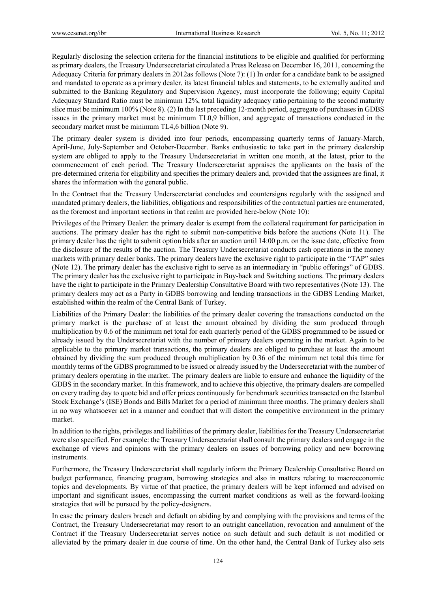Regularly disclosing the selection criteria for the financial institutions to be eligible and qualified for performing as primary dealers, the Treasury Undersecretariat circulated a Press Release on December 16, 2011, concerning the Adequacy Criteria for primary dealers in 2012as follows (Note 7): (1) In order for a candidate bank to be assigned and mandated to operate as a primary dealer, its latest financial tables and statements, to be externally audited and submitted to the Banking Regulatory and Supervision Agency, must incorporate the following; equity Capital Adequacy Standard Ratio must be minimum 12%, total liquidity adequacy ratio pertaining to the second maturity slice must be minimum 100% (Note 8). (2) In the last preceding 12-month period, aggregate of purchases in GDBS issues in the primary market must be minimum TL0,9 billion, and aggregate of transactions conducted in the secondary market must be minimum TL4,6 billion (Note 9).

The primary dealer system is divided into four periods, encompassing quarterly terms of January-March, April-June, July-September and October-December. Banks enthusiastic to take part in the primary dealership system are obliged to apply to the Treasury Undersecretariat in written one month, at the latest, prior to the commencement of each period. The Treasury Undersecretariat appraises the applicants on the basis of the pre-determined criteria for eligibility and specifies the primary dealers and, provided that the assignees are final, it shares the information with the general public.

In the Contract that the Treasury Undersecretariat concludes and countersigns regularly with the assigned and mandated primary dealers, the liabilities, obligations and responsibilities of the contractual parties are enumerated, as the foremost and important sections in that realm are provided here-below (Note 10):

Privileges of the Primary Dealer: the primary dealer is exempt from the collateral requirement for participation in auctions. The primary dealer has the right to submit non-competitive bids before the auctions (Note 11). The primary dealer has the right to submit option bids after an auction until 14:00 p.m. on the issue date, effective from the disclosure of the results of the auction. The Treasury Undersecretariat conducts cash operations in the money markets with primary dealer banks. The primary dealers have the exclusive right to participate in the "TAP" sales (Note 12). The primary dealer has the exclusive right to serve as an intermediary in "public offerings" of GDBS. The primary dealer has the exclusive right to participate in Buy-back and Switching auctions. The primary dealers have the right to participate in the Primary Dealership Consultative Board with two representatives (Note 13). The primary dealers may act as a Party in GDBS borrowing and lending transactions in the GDBS Lending Market, established within the realm of the Central Bank of Turkey.

Liabilities of the Primary Dealer: the liabilities of the primary dealer covering the transactions conducted on the primary market is the purchase of at least the amount obtained by dividing the sum produced through multiplication by 0.6 of the minimum net total for each quarterly period of the GDBS programmed to be issued or already issued by the Undersecretariat with the number of primary dealers operating in the market. Again to be applicable to the primary market transactions, the primary dealers are obliged to purchase at least the amount obtained by dividing the sum produced through multiplication by 0.36 of the minimum net total this time for monthly terms of the GDBS programmed to be issued or already issued by the Undersecretariat with the number of primary dealers operating in the market. The primary dealers are liable to ensure and enhance the liquidity of the GDBS in the secondary market. In this framework, and to achieve this objective, the primary dealers are compelled on every trading day to quote bid and offer prices continuously for benchmark securities transacted on the Istanbul Stock Exchange's (ISE) Bonds and Bills Market for a period of minimum three months. The primary dealers shall in no way whatsoever act in a manner and conduct that will distort the competitive environment in the primary market.

In addition to the rights, privileges and liabilities of the primary dealer, liabilities for the Treasury Undersecretariat were also specified. For example: the Treasury Undersecretariat shall consult the primary dealers and engage in the exchange of views and opinions with the primary dealers on issues of borrowing policy and new borrowing instruments.

Furthermore, the Treasury Undersecretariat shall regularly inform the Primary Dealership Consultative Board on budget performance, financing program, borrowing strategies and also in matters relating to macroeconomic topics and developments. By virtue of that practice, the primary dealers will be kept informed and advised on important and significant issues, encompassing the current market conditions as well as the forward-looking strategies that will be pursued by the policy-designers.

In case the primary dealers breach and default on abiding by and complying with the provisions and terms of the Contract, the Treasury Undersecretariat may resort to an outright cancellation, revocation and annulment of the Contract if the Treasury Undersecretariat serves notice on such default and such default is not modified or alleviated by the primary dealer in due course of time. On the other hand, the Central Bank of Turkey also sets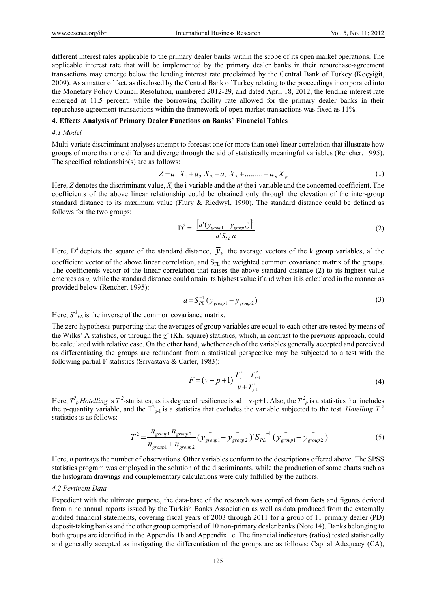different interest rates applicable to the primary dealer banks within the scope of its open market operations. The applicable interest rate that will be implemented by the primary dealer banks in their repurchase-agreement transactions may emerge below the lending interest rate proclaimed by the Central Bank of Turkey (Koçyiğit, 2009). As a matter of fact, as disclosed by the Central Bank of Turkey relating to the proceedings incorporated into the Monetary Policy Council Resolution, numbered 2012-29, and dated April 18, 2012, the lending interest rate emerged at 11.5 percent, while the borrowing facility rate allowed for the primary dealer banks in their repurchase-agreement transactions within the framework of open market transactions was fixed as 11%.

#### **4. Effects Analysis of Primary Dealer Functions on Banks' Financial Tables**

#### *4.1 Model*

Multi-variate discriminant analyses attempt to forecast one (or more than one) linear correlation that illustrate how groups of more than one differ and diverge through the aid of statistically meaningful variables (Rencher, 1995). The specified relationship(s) are as follows:

$$
Z = a_1 X_1 + a_2 X_2 + a_3 X_3 + \dots + a_p X_p
$$
 (1)

Here, *Z* denotes the discriminant value, *Xi* the i-variable and the *ai* the i-variable and the concerned coefficient. The coefficients of the above linear relationship could be obtained only through the elevation of the inter-group standard distance to its maximum value (Flury & Riedwyl, 1990). The standard distance could be defined as follows for the two groups:

$$
D^{2} = \frac{\left[a'(\bar{y}_{group1} - \bar{y}_{group2})\right]^{2}}{a'S_{PL} a}
$$
\n(2)

Here, D<sup>2</sup> depicts the square of the standard distance,  $\bar{y}_k$  the average vectors of the k group variables, a' the coefficient vector of the above linear correlation, and  $S_{FL}$  the weighted common covariance matrix of the groups. The coefficients vector of the linear correlation that raises the above standard distance (2) to its highest value emerges as *a,* while the standard distance could attain its highest value if and when it is calculated in the manner as provided below (Rencher, 1995):

$$
a = S_{PL}^{-1} \left( \bar{y}_{group1} - \bar{y}_{group2} \right) \tag{3}
$$

Here,  $S^I_{PL}$  is the inverse of the common covariance matrix.

The zero hypothesis purporting that the averages of group variables are equal to each other are tested by means of the Wilks'  $\Lambda$  statistics, or through the  $\chi^2$  (Khi-square) statistics, which, in contrast to the previous approach, could be calculated with relative ease. On the other hand, whether each of the variables generally accepted and perceived as differentiating the groups are redundant from a statistical perspective may be subjected to a test with the following partial F-statistics (Srivastava & Carter, 1983):

$$
F = (\nu - p + 1) \frac{T_p^2 - T_{p-1}^2}{\nu + T_{p-1}^2} \tag{4}
$$

Here,  $T_p^2$  *Hotelling* is  $T^2$ -statistics, as its degree of resilience is sd = v-p+1. Also, the  $T_p^2$  is a statistics that includes the p-quantity variable, and the  $T_{p-1}^2$  is a statistics that excludes the variable subjected to the test. *Hotelling*  $T^2$ statistics is as follows:

$$
T^{2} = \frac{n_{group1} n_{group2}}{n_{group1} + n_{group2}} (y_{group1} - y_{group2}) S_{PL}^{-1} (y_{group1} - y_{group2})
$$
 (5)

Here, *n* portrays the number of observations. Other variables conform to the descriptions offered above. The SPSS statistics program was employed in the solution of the discriminants, while the production of some charts such as the histogram drawings and complementary calculations were duly fulfilled by the authors.

#### *4.2 Pertinent Data*

Expedient with the ultimate purpose, the data-base of the research was compiled from facts and figures derived from nine annual reports issued by the Turkish Banks Association as well as data produced from the externally audited financial statements, covering fiscal years of 2003 through 2011 for a group of 11 primary dealer (PD) deposit-taking banks and the other group comprised of 10 non-primary dealer banks (Note 14). Banks belonging to both groups are identified in the Appendix 1b and Appendix 1c. The financial indicators (ratios) tested statistically and generally accepted as instigating the differentiation of the groups are as follows: Capital Adequacy (CA),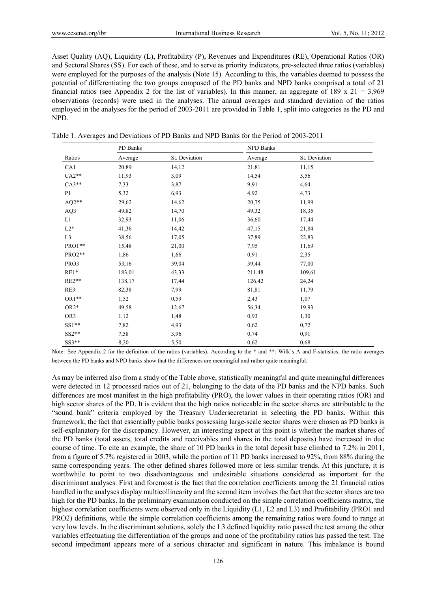Asset Quality (AQ), Liquidity (L), Profitability (P), Revenues and Expenditures (RE), Operational Ratios (OR) and Sectoral Shares (SS). For each of these, and to serve as priority indicators, pre-selected three ratios (variables) were employed for the purposes of the analysis (Note 15). According to this, the variables deemed to possess the potential of differentiating the two groups composed of the PD banks and NPD banks comprised a total of 21 financial ratios (see Appendix 2 for the list of variables). In this manner, an aggregate of 189 x  $21 = 3,969$ observations (records) were used in the analyses. The annual averages and standard deviation of the ratios employed in the analyses for the period of 2003-2011 are provided in Table 1, split into categories as the PD and NPD.

PD Banks NPD Banks Ratios Average St. Deviation Average St. Deviation CA1 20,89 14,12 21,81 11,15  $CA2^{**}$  11,93 3,09 14,54 5,56  $CA3^{**}$  7,33 3,87 9,91 4,64 P1 5,32 6,93 4,92 4,73  $AQ2^{**}$  29,62 14,62 20,75 11,99 AQ3 49,82 14,70 49,32 18,35 L1 32,93 11,06 36,60 17,44  $L2^*$  41,36 14,42 47,15 21,84 L3 38,56 17,05 37,89 22,83 PRO1<sup>\*\*</sup> 15,48 21,00 7,95 11,69  $PRO2^{**}$  1,86 1,66 0,91 2,35 PRO3 53,16 59,04 39,44 77,00 RE1\* 183,01 43,33 211,48 109,61 RE2<sup>\*\*</sup> 138,17 17,44 126,42 24,24 RE3 82,38 7,99 81,81 11,79 OR1<sup>\*\*</sup> 1,52 0,59 2,43 1,07 OR2\* 49,58 12,67 56,34 19,93 OR3 1,12 1,48 0,93 1,30  $SS1^{**}$  7,82 4,93 0,62 0,72  $SS2^{**}$  7,58 3,96 0,74 0,91  $SS3^{**}$  8,20 5,50 0,62 0,68

|  |  | Table 1. Averages and Deviations of PD Banks and NPD Banks for the Period of 2003-2011 |  |  |
|--|--|----------------------------------------------------------------------------------------|--|--|
|--|--|----------------------------------------------------------------------------------------|--|--|

Note: See Appendix 2 for the definition of the ratios (variables). According to the \* and \*\*: Wilk's Λ and F-statistics, the ratio averages between the PD banks and NPD banks show that the differences are meaningful and rather quite meaningful.

As may be inferred also from a study of the Table above, statistically meaningful and quite meaningful differences were detected in 12 processed ratios out of 21, belonging to the data of the PD banks and the NPD banks. Such differences are most manifest in the high profitability (PRO), the lower values in their operating ratios (OR) and high sector shares of the PD. It is evident that the high ratios noticeable in the sector shares are attributable to the "sound bank" criteria employed by the Treasury Undersecretariat in selecting the PD banks. Within this framework, the fact that essentially public banks possessing large-scale sector shares were chosen as PD banks is self-explanatory for the discrepancy. However, an interesting aspect at this point is whether the market shares of the PD banks (total assets, total credits and receivables and shares in the total deposits) have increased in due course of time. To cite an example, the share of 10 PD banks in the total deposit base climbed to 7.2% in 2011, from a figure of 5.7% registered in 2003, while the portion of 11 PD banks increased to 92%, from 88% during the same corresponding years. The other defined shares followed more or less similar trends. At this juncture, it is worthwhile to point to two disadvantageous and undesirable situations considered as important for the discriminant analyses. First and foremost is the fact that the correlation coefficients among the 21 financial ratios handled in the analyses display multicollinearity and the second item involves the fact that the sector shares are too high for the PD banks. In the preliminary examination conducted on the simple correlation coefficients matrix, the highest correlation coefficients were observed only in the Liquidity (L1, L2 and L3) and Profitability (PRO1 and PRO2) definitions, while the simple correlation coefficients among the remaining ratios were found to range at very low levels. In the discriminant solutions, solely the L3 defined liquidity ratio passed the test among the other variables effectuating the differentiation of the groups and none of the profitability ratios has passed the test. The second impediment appears more of a serious character and significant in nature. This imbalance is bound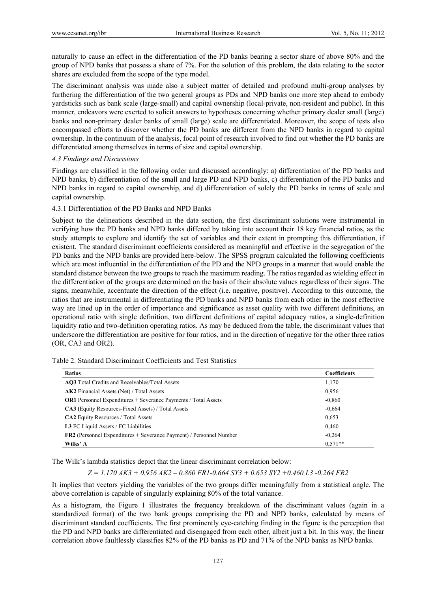naturally to cause an effect in the differentiation of the PD banks bearing a sector share of above 80% and the group of NPD banks that possess a share of 7%. For the solution of this problem, the data relating to the sector shares are excluded from the scope of the type model.

The discriminant analysis was made also a subject matter of detailed and profound multi-group analyses by furthering the differentiation of the two general groups as PDs and NPD banks one more step ahead to embody yardsticks such as bank scale (large-small) and capital ownership (local-private, non-resident and public). In this manner, endeavors were exerted to solicit answers to hypotheses concerning whether primary dealer small (large) banks and non-primary dealer banks of small (large) scale are differentiated. Moreover, the scope of tests also encompassed efforts to discover whether the PD banks are different from the NPD banks in regard to capital ownership. In the continuum of the analysis, focal point of research involved to find out whether the PD banks are differentiated among themselves in terms of size and capital ownership.

#### *4.3 Findings and Discussions*

Findings are classified in the following order and discussed accordingly: a) differentiation of the PD banks and NPD banks, b) differentiation of the small and large PD and NPD banks, c) differentiation of the PD banks and NPD banks in regard to capital ownership, and d) differentiation of solely the PD banks in terms of scale and capital ownership.

# 4.3.1 Differentiation of the PD Banks and NPD Banks

Subject to the delineations described in the data section, the first discriminant solutions were instrumental in verifying how the PD banks and NPD banks differed by taking into account their 18 key financial ratios, as the study attempts to explore and identify the set of variables and their extent in prompting this differentiation, if existent. The standard discriminant coefficients considered as meaningful and effective in the segregation of the PD banks and the NPD banks are provided here-below. The SPSS program calculated the following coefficients which are most influential in the differentiation of the PD and the NPD groups in a manner that would enable the standard distance between the two groups to reach the maximum reading. The ratios regarded as wielding effect in the differentiation of the groups are determined on the basis of their absolute values regardless of their signs. The signs, meanwhile, accentuate the direction of the effect (i.e. negative, positive). According to this outcome, the ratios that are instrumental in differentiating the PD banks and NPD banks from each other in the most effective way are lined up in the order of importance and significance as asset quality with two different definitions, an operational ratio with single definition, two different definitions of capital adequacy ratios, a single-definition liquidity ratio and two-definition operating ratios. As may be deduced from the table, the discriminant values that underscore the differentiation are positive for four ratios, and in the direction of negative for the other three ratios (OR, CA3 and OR2).

| <b>Ratios</b>                                                              | <b>Coefficients</b> |
|----------------------------------------------------------------------------|---------------------|
| <b>AO3</b> Total Credits and Receivables/Total Assets                      | 1,170               |
| <b>AK2</b> Financial Assets (Net) / Total Assets                           | 0,956               |
| <b>OR1</b> Personnel Expenditures + Severance Payments / Total Assets      | $-0.860$            |
| <b>CA3</b> (Equity Resources-Fixed Assets) / Total Assets                  | $-0.664$            |
| <b>CA2</b> Equity Resources / Total Assets                                 | 0,653               |
| <b>L3</b> FC Liquid Assets / FC Liabilities                                | 0.460               |
| <b>FR2</b> (Personnel Expenditures + Severance Payment) / Personnel Number | $-0.264$            |
| Wilks' $\Lambda$                                                           | $0.571**$           |

Table 2. Standard Discriminant Coefficients and Test Statistics

The Wilk's lambda statistics depict that the linear discriminant correlation below:

#### *Z = 1.170 AK3 + 0.956 AK2 – 0.860 FR1-0.664 SY3 + 0.653 SY2 +0.460 L3 -0.264 FR2*

It implies that vectors yielding the variables of the two groups differ meaningfully from a statistical angle. The above correlation is capable of singularly explaining 80% of the total variance.

As a histogram, the Figure 1 illustrates the frequency breakdown of the discriminant values (again in a standardized format) of the two bank groups comprising the PD and NPD banks, calculated by means of discriminant standard coefficients. The first prominently eye-catching finding in the figure is the perception that the PD and NPD banks are differentiated and disengaged from each other, albeit just a bit. In this way, the linear correlation above faultlessly classifies 82% of the PD banks as PD and 71% of the NPD banks as NPD banks.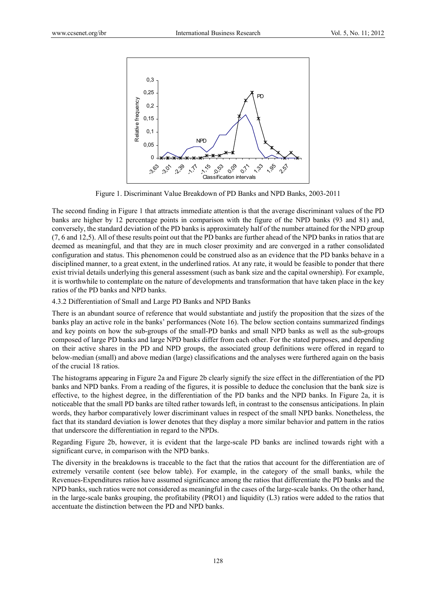

Figure 1. Discriminant Value Breakdown of PD Banks and NPD Banks, 2003-2011

The second finding in Figure 1 that attracts immediate attention is that the average discriminant values of the PD banks are higher by 12 percentage points in comparison with the figure of the NPD banks (93 and 81) and, conversely, the standard deviation of the PD banks is approximately half of the number attained for the NPD group (7, 6 and 12,5). All of these results point out that the PD banks are further ahead of the NPD banks in ratios that are deemed as meaningful, and that they are in much closer proximity and are converged in a rather consolidated configuration and status. This phenomenon could be construed also as an evidence that the PD banks behave in a disciplined manner, to a great extent, in the underlined ratios. At any rate, it would be feasible to ponder that there exist trivial details underlying this general assessment (such as bank size and the capital ownership). For example, it is worthwhile to contemplate on the nature of developments and transformation that have taken place in the key ratios of the PD banks and NPD banks.

#### 4.3.2 Differentiation of Small and Large PD Banks and NPD Banks

There is an abundant source of reference that would substantiate and justify the proposition that the sizes of the banks play an active role in the banks' performances (Note 16). The below section contains summarized findings and key points on how the sub-groups of the small-PD banks and small NPD banks as well as the sub-groups composed of large PD banks and large NPD banks differ from each other. For the stated purposes, and depending on their active shares in the PD and NPD groups, the associated group definitions were offered in regard to below-median (small) and above median (large) classifications and the analyses were furthered again on the basis of the crucial 18 ratios.

The histograms appearing in Figure 2a and Figure 2b clearly signify the size effect in the differentiation of the PD banks and NPD banks. From a reading of the figures, it is possible to deduce the conclusion that the bank size is effective, to the highest degree, in the differentiation of the PD banks and the NPD banks. In Figure 2a, it is noticeable that the small PD banks are tilted rather towards left, in contrast to the consensus anticipations. In plain words, they harbor comparatively lower discriminant values in respect of the small NPD banks. Nonetheless, the fact that its standard deviation is lower denotes that they display a more similar behavior and pattern in the ratios that underscore the differentiation in regard to the NPDs.

Regarding Figure 2b, however, it is evident that the large-scale PD banks are inclined towards right with a significant curve, in comparison with the NPD banks.

The diversity in the breakdowns is traceable to the fact that the ratios that account for the differentiation are of extremely versatile content (see below table). For example, in the category of the small banks, while the Revenues-Expenditures ratios have assumed significance among the ratios that differentiate the PD banks and the NPD banks, such ratios were not considered as meaningful in the cases of the large-scale banks. On the other hand, in the large-scale banks grouping, the profitability (PRO1) and liquidity (L3) ratios were added to the ratios that accentuate the distinction between the PD and NPD banks.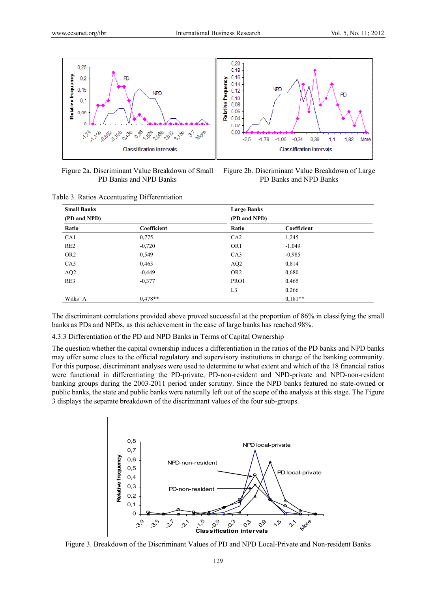

Figure 2a. Discriminant Value Breakdown of Sm PD Banks and NPD Banks



| <b>Small Banks</b><br>(PD and NPD) |             | <b>Large Banks</b><br>(PD and NPD) |             |  |
|------------------------------------|-------------|------------------------------------|-------------|--|
| Ratio                              | Coefficient | Ratio                              | Coefficient |  |
| CA1                                | 0,775       | CA <sub>2</sub>                    | 1,245       |  |
| RE2                                | $-0,720$    | OR <sub>1</sub>                    | $-1,049$    |  |
| OR <sub>2</sub>                    | 0,549       | CA3                                | $-0,985$    |  |
| CA3                                | 0,465       | AQ2                                | 0,814       |  |
| AQ2                                | $-0,449$    | OR <sub>2</sub>                    | 0,680       |  |
| RE3                                | $-0,377$    | PRO1                               | 0,465       |  |
|                                    |             | L <sub>3</sub>                     | 0,266       |  |
| Wilks' $\Lambda$                   | $0.478**$   |                                    | $0.181**$   |  |

Table 3. Ratios Accentuating Differentiation

The discriminant correlations provided above proved successful at the proportion of 86% in classifying the small banks as PDs and NPDs, as this achievement in the case of large banks has reached 98%.

4.3.3 Differentiation of the PD and NPD Banks in Terms of Capital Ownership

The question whether the capital ownership induces a differentiation in the ratios of the PD banks and NPD banks may offer some clues to the official regulatory and supervisory institutions in charge of the banking community. For this purpose, discriminant analyses were used to determine to what extent and which of the 18 financial ratios were functional in differentiating the PD-private, PD-non-resident and NPD-private and NPD-non-resident banking groups during the 2003-2011 period under scrutiny. Since the NPD banks featured no state-owned or public banks, the state and public banks were naturally left out of the scope of the analysis at this stage. The Figure 3 displays the separate breakdown of the discriminant values of the four sub-groups.



Figure 3. Breakdown of the Discriminant Values of PD and NPD Local-Private and Non-resident Banks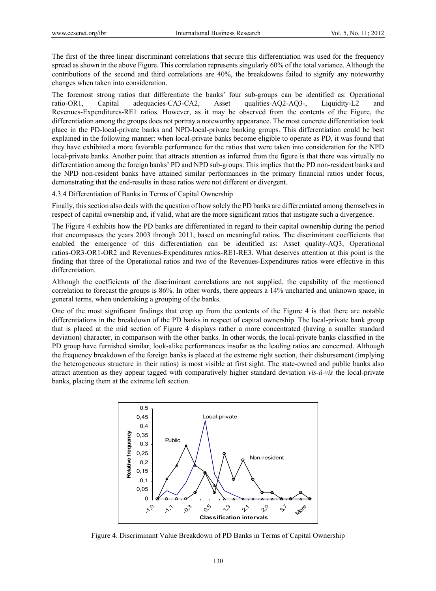The first of the three linear discriminant correlations that secure this differentiation was used for the frequency spread as shown in the above Figure. This correlation represents singularly 60% of the total variance. Although the contributions of the second and third correlations are 40%, the breakdowns failed to signify any noteworthy changes when taken into consideration.

The foremost strong ratios that differentiate the banks' four sub-groups can be identified as: Operational ratio-OR1, Capital adequacies-CA3-CA2, Asset qualities-AQ2-AQ3-, Liquidity-L2 and Revenues-Expenditures-RE1 ratios. However, as it may be observed from the contents of the Figure, the differentiation among the groups does not portray a noteworthy appearance. The most concrete differentiation took place in the PD-local-private banks and NPD-local-private banking groups. This differentiation could be best explained in the following manner: when local-private banks become eligible to operate as PD, it was found that they have exhibited a more favorable performance for the ratios that were taken into consideration for the NPD local-private banks. Another point that attracts attention as inferred from the figure is that there was virtually no differentiation among the foreign banks' PD and NPD sub-groups. This implies that the PD non-resident banks and the NPD non-resident banks have attained similar performances in the primary financial ratios under focus, demonstrating that the end-results in these ratios were not different or divergent.

4.3.4 Differentiation of Banks in Terms of Capital Ownership

Finally, this section also deals with the question of how solely the PD banks are differentiated among themselves in respect of capital ownership and, if valid, what are the more significant ratios that instigate such a divergence.

The Figure 4 exhibits how the PD banks are differentiated in regard to their capital ownership during the period that encompasses the years 2003 through 2011, based on meaningful ratios. The discriminant coefficients that enabled the emergence of this differentiation can be identified as: Asset quality-AQ3, Operational ratios-OR3-OR1-OR2 and Revenues-Expenditures ratios-RE1-RE3. What deserves attention at this point is the finding that three of the Operational ratios and two of the Revenues-Expenditures ratios were effective in this differentiation.

Although the coefficients of the discriminant correlations are not supplied, the capability of the mentioned correlation to forecast the groups is 86%. In other words, there appears a 14% uncharted and unknown space, in general terms, when undertaking a grouping of the banks.

One of the most significant findings that crop up from the contents of the Figure 4 is that there are notable differentiations in the breakdown of the PD banks in respect of capital ownership. The local-private bank group that is placed at the mid section of Figure 4 displays rather a more concentrated (having a smaller standard deviation) character, in comparison with the other banks. In other words, the local-private banks classified in the PD group have furnished similar, look-alike performances insofar as the leading ratios are concerned. Although the frequency breakdown of the foreign banks is placed at the extreme right section, their disbursement (implying the heterogeneous structure in their ratios) is most visible at first sight. The state-owned and public banks also attract attention as they appear tagged with comparatively higher standard deviation *vis-à-vis* the local-private banks, placing them at the extreme left section.



Figure 4. Discriminant Value Breakdown of PD Banks in Terms of Capital Ownership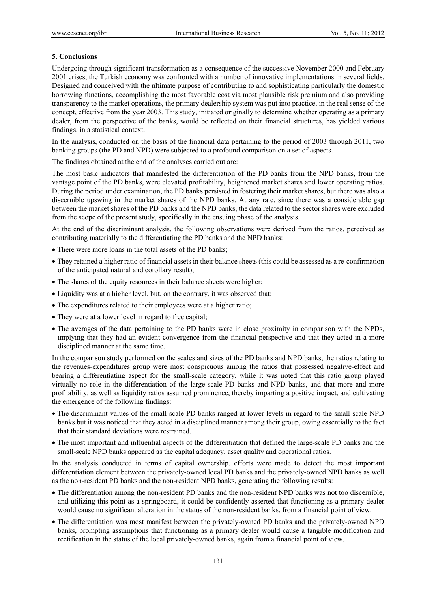# **5. Conclusions**

Undergoing through significant transformation as a consequence of the successive November 2000 and February 2001 crises, the Turkish economy was confronted with a number of innovative implementations in several fields. Designed and conceived with the ultimate purpose of contributing to and sophisticating particularly the domestic borrowing functions, accomplishing the most favorable cost via most plausible risk premium and also providing transparency to the market operations, the primary dealership system was put into practice, in the real sense of the concept, effective from the year 2003. This study, initiated originally to determine whether operating as a primary dealer, from the perspective of the banks, would be reflected on their financial structures, has yielded various findings, in a statistical context.

In the analysis, conducted on the basis of the financial data pertaining to the period of 2003 through 2011, two banking groups (the PD and NPD) were subjected to a profound comparison on a set of aspects.

The findings obtained at the end of the analyses carried out are:

The most basic indicators that manifested the differentiation of the PD banks from the NPD banks, from the vantage point of the PD banks, were elevated profitability, heightened market shares and lower operating ratios. During the period under examination, the PD banks persisted in fostering their market shares, but there was also a discernible upswing in the market shares of the NPD banks. At any rate, since there was a considerable gap between the market shares of the PD banks and the NPD banks, the data related to the sector shares were excluded from the scope of the present study, specifically in the ensuing phase of the analysis.

At the end of the discriminant analysis, the following observations were derived from the ratios, perceived as contributing materially to the differentiating the PD banks and the NPD banks:

- There were more loans in the total assets of the PD banks;
- They retained a higher ratio of financial assets in their balance sheets (this could be assessed as a re-confirmation of the anticipated natural and corollary result);
- The shares of the equity resources in their balance sheets were higher;
- Liquidity was at a higher level, but, on the contrary, it was observed that;
- The expenditures related to their employees were at a higher ratio;
- They were at a lower level in regard to free capital;
- The averages of the data pertaining to the PD banks were in close proximity in comparison with the NPDs, implying that they had an evident convergence from the financial perspective and that they acted in a more disciplined manner at the same time.

In the comparison study performed on the scales and sizes of the PD banks and NPD banks, the ratios relating to the revenues-expenditures group were most conspicuous among the ratios that possessed negative-effect and bearing a differentiating aspect for the small-scale category, while it was noted that this ratio group played virtually no role in the differentiation of the large-scale PD banks and NPD banks, and that more and more profitability, as well as liquidity ratios assumed prominence, thereby imparting a positive impact, and cultivating the emergence of the following findings:

- The discriminant values of the small-scale PD banks ranged at lower levels in regard to the small-scale NPD banks but it was noticed that they acted in a disciplined manner among their group, owing essentially to the fact that their standard deviations were restrained.
- The most important and influential aspects of the differentiation that defined the large-scale PD banks and the small-scale NPD banks appeared as the capital adequacy, asset quality and operational ratios.

In the analysis conducted in terms of capital ownership, efforts were made to detect the most important differentiation element between the privately-owned local PD banks and the privately-owned NPD banks as well as the non-resident PD banks and the non-resident NPD banks, generating the following results:

- The differentiation among the non-resident PD banks and the non-resident NPD banks was not too discernible, and utilizing this point as a springboard, it could be confidently asserted that functioning as a primary dealer would cause no significant alteration in the status of the non-resident banks, from a financial point of view.
- The differentiation was most manifest between the privately-owned PD banks and the privately-owned NPD banks, prompting assumptions that functioning as a primary dealer would cause a tangible modification and rectification in the status of the local privately-owned banks, again from a financial point of view.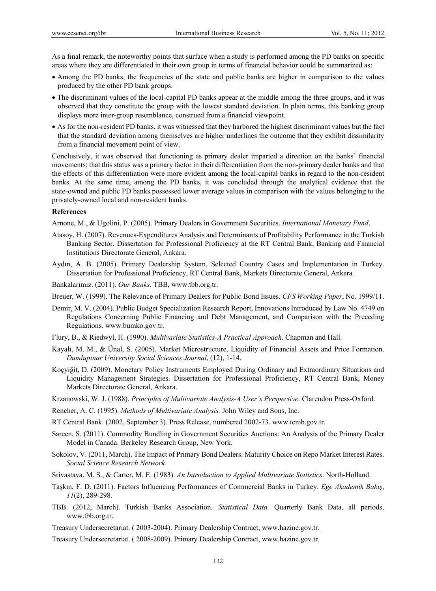As a final remark, the noteworthy points that surface when a study is performed among the PD banks on specific areas where they are differentiated in their own group in terms of financial behavior could be summarized as:

- Among the PD banks, the frequencies of the state and public banks are higher in comparison to the values produced by the other PD bank groups.
- The discriminant values of the local-capital PD banks appear at the middle among the three groups, and it was observed that they constitute the group with the lowest standard deviation. In plain terms, this banking group displays more inter-group resemblance, construed from a financial viewpoint.
- As for the non-resident PD banks, it was witnessed that they harbored the highest discriminant values but the fact that the standard deviation among themselves are higher underlines the outcome that they exhibit dissimilarity from a financial movement point of view.

Conclusively, it was observed that functioning as primary dealer imparted a direction on the banks' financial movements; that this status was a primary factor in their differentiation from the non-primary dealer banks and that the effects of this differentiation were more evident among the local-capital banks in regard to the non-resident banks. At the same time, among the PD banks, it was concluded through the analytical evidence that the state-owned and public PD banks possessed lower average values in comparison with the values belonging to the privately-owned local and non-resident banks.

# **References**

Arnone, M., & Ugolini, P. (2005). Primary Dealers in Government Securities. *International Monetary Fund*.

- Atasoy, H. (2007). Revenues-Expenditures Analysis and Determinants of Profitability Performance in the Turkish Banking Sector. Dissertation for Professional Proficiency at the RT Central Bank, Banking and Financial Institutions Directorate General, Ankara.
- Aydın, A. B. (2005). Primary Dealership System, Selected Country Cases and Implementation in Turkey. Dissertation for Professional Proficiency, RT Central Bank, Markets Directorate General, Ankara.
- Bankalarımız. (2011). *Our Banks*. TBB, www.tbb.org.tr.
- Breuer, W. (1999). The Relevance of Primary Dealers for Public Bond Issues. *CFS Working Paper*, No. 1999/11.
- Demir, M. V. (2004). Public Budget Specialization Research Report, Innovations Introduced by Law No. 4749 on Regulations Concerning Public Financing and Debt Management, and Comparison with the Preceding Regulations. www.bumko.gov.tr.
- Flury, B., & Riedwyl, H. (1990). *Multivariate Statistics-A Practical Approach*. Chapman and Hall.
- Kayalı, M. M., & Ünal, S. (2005). Market Microstructure, Liquidity of Financial Assets and Price Formation. *Dumlupınar University Social Sciences Journal*, (12), 1-14.
- Koçyiğit, D. (2009). Monetary Policy Instruments Employed During Ordinary and Extraordinary Situations and Liquidity Management Strategies. Dissertation for Professional Proficiency, RT Central Bank, Money Markets Directorate General, Ankara.
- Krzanowski, W. J. (1988). *Principles of Multivariate Analysis-A User's Perspective*. Clarendon Press-Oxford.
- Rencher, A. C. (1995). *Methods of Multivariate Analysis.* John Wiley and Sons, Inc.
- RT Central Bank. (2002, September 3). Press Release, numbered 2002-73. www.tcmb.gov.tr.
- Sareen, S. (2011). Commodity Bundling in Government Securities Auctions: An Analysis of the Primary Dealer Model in Canada. Berkeley Research Group, New York.
- Sokolov, V. (2011, March). The Impact of Primary Bond Dealers. Maturity Choice on Repo Market Interest Rates. *Social Science Research Network*.
- Srivastava, M. S., & Carter, M. E. (1983). *An Introduction to Applied Multivariate Statistics*. North-Holland.
- Taşkın, F. D. (2011). Factors Influencing Performances of Commercial Banks in Turkey. *Ege Akademik Bakış*, *11*(2), 289-298.
- TBB. (2012, March). Turkish Banks Association. *Statistical Data.* Quarterly Bank Data, all periods, www.tbb.org.tr.
- Treasury Undersecretariat. ( 2003-2004). Primary Dealership Contract, www.hazine.gov.tr.

Treasury Undersecretariat. ( 2008-2009). Primary Dealership Contract, www.hazine.gov.tr.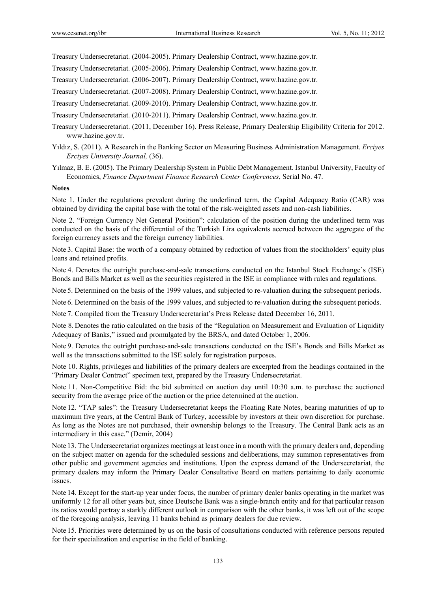Treasury Undersecretariat. (2004-2005). Primary Dealership Contract, www.hazine.gov.tr.

Treasury Undersecretariat. (2005-2006). Primary Dealership Contract, www.hazine.gov.tr.

Treasury Undersecretariat. (2006-2007). Primary Dealership Contract, www.hazine.gov.tr.

Treasury Undersecretariat. (2007-2008). Primary Dealership Contract, www.hazine.gov.tr.

Treasury Undersecretariat. (2009-2010). Primary Dealership Contract, www.hazine.gov.tr.

Treasury Undersecretariat. (2010-2011). Primary Dealership Contract, www.hazine.gov.tr.

Treasury Undersecretariat. (2011, December 16). Press Release, Primary Dealership Eligibility Criteria for 2012. www.hazine.gov.tr.

Yıldız, S. (2011). A Research in the Banking Sector on Measuring Business Administration Management. *Erciyes Erciyes University Journal,* (36).

Yılmaz, B. E. (2005). The Primary Dealership System in Public Debt Management. Istanbul University, Faculty of Economics, *Finance Department Finance Research Center Conferences*, Serial No. 47.

#### **Notes**

Note 1. Under the regulations prevalent during the underlined term, the Capital Adequacy Ratio (CAR) was obtained by dividing the capital base with the total of the risk-weighted assets and non-cash liabilities.

Note 2. "Foreign Currency Net General Position": calculation of the position during the underlined term was conducted on the basis of the differential of the Turkish Lira equivalents accrued between the aggregate of the foreign currency assets and the foreign currency liabilities.

Note 3. Capital Base: the worth of a company obtained by reduction of values from the stockholders' equity plus loans and retained profits.

Note 4. Denotes the outright purchase-and-sale transactions conducted on the Istanbul Stock Exchange's (ISE) Bonds and Bills Market as well as the securities registered in the ISE in compliance with rules and regulations.

Note 5. Determined on the basis of the 1999 values, and subjected to re-valuation during the subsequent periods.

Note 6. Determined on the basis of the 1999 values, and subjected to re-valuation during the subsequent periods.

Note 7. Compiled from the Treasury Undersecretariat's Press Release dated December 16, 2011.

Note 8. Denotes the ratio calculated on the basis of the "Regulation on Measurement and Evaluation of Liquidity Adequacy of Banks," issued and promulgated by the BRSA, and dated October 1, 2006.

Note 9. Denotes the outright purchase-and-sale transactions conducted on the ISE's Bonds and Bills Market as well as the transactions submitted to the ISE solely for registration purposes.

Note 10. Rights, privileges and liabilities of the primary dealers are excerpted from the headings contained in the "Primary Dealer Contract" specimen text, prepared by the Treasury Undersecretariat.

Note 11. Non-Competitive Bid: the bid submitted on auction day until 10:30 a.m. to purchase the auctioned security from the average price of the auction or the price determined at the auction.

Note 12. "TAP sales": the Treasury Undersecretariat keeps the Floating Rate Notes, bearing maturities of up to maximum five years, at the Central Bank of Turkey, accessible by investors at their own discretion for purchase. As long as the Notes are not purchased, their ownership belongs to the Treasury. The Central Bank acts as an intermediary in this case." (Demir, 2004)

Note 13. The Undersecretariat organizes meetings at least once in a month with the primary dealers and, depending on the subject matter on agenda for the scheduled sessions and deliberations, may summon representatives from other public and government agencies and institutions. Upon the express demand of the Undersecretariat, the primary dealers may inform the Primary Dealer Consultative Board on matters pertaining to daily economic issues.

Note 14. Except for the start-up year under focus, the number of primary dealer banks operating in the market was uniformly 12 for all other years but, since Deutsche Bank was a single-branch entity and for that particular reason its ratios would portray a starkly different outlook in comparison with the other banks, it was left out of the scope of the foregoing analysis, leaving 11 banks behind as primary dealers for due review.

Note 15. Priorities were determined by us on the basis of consultations conducted with reference persons reputed for their specialization and expertise in the field of banking.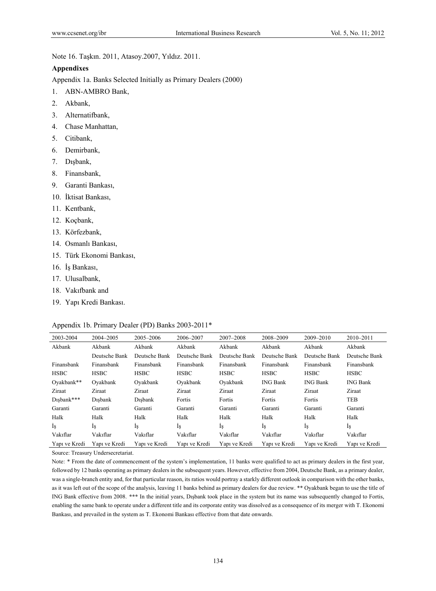Note 16. Taşkın. 2011, Atasoy.2007, Yıldız. 2011.

# **Appendixes**

Appendix 1a. Banks Selected Initially as Primary Dealers (2000)

- 1. ABN-AMBRO Bank,
- 2. Akbank,
- 3. Alternatifbank,
- 4. Chase Manhattan,
- 5. Citibank,
- 6. Demirbank,
- 7. Dışbank,
- 8. Finansbank,
- 9. Garanti Bankası,
- 10. İktisat Bankası,
- 11. Kentbank,
- 12. Koçbank,
- 13. Körfezbank,
- 14. Osmanlı Bankası,
- 15. Türk Ekonomi Bankası,
- 16. İş Bankası,
- 17. Ulusalbank,
- 18. Vakıfbank and
- 19. Yapı Kredi Bankası.

#### Appendix 1b. Primary Dealer (PD) Banks 2003-2011\*

| 2003-2004               | 2004-2005     | 2005-2006     | 2006-2007     | 2007-2008     | 2008-2009       | 2009-2010       | 2010-2011       |
|-------------------------|---------------|---------------|---------------|---------------|-----------------|-----------------|-----------------|
| Akbank                  | Akbank        | Akbank        | Akbank        | Akbank        | Akbank          | Akbank          | Akbank          |
|                         | Deutsche Bank | Deutsche Bank | Deutsche Bank | Deutsche Bank | Deutsche Bank   | Deutsche Bank   | Deutsche Bank   |
| Finansbank              | Finansbank    | Finansbank    | Finansbank    | Finansbank    | Finansbank      | Finansbank      | Finansbank      |
| <b>HSBC</b>             | <b>HSBC</b>   | <b>HSBC</b>   | <b>HSBC</b>   | <b>HSBC</b>   | <b>HSBC</b>     | <b>HSBC</b>     | <b>HSBC</b>     |
| Ovakbank**              | Ovakbank      | Ovakbank      | Oyakbank      | Ovakbank      | <b>ING Bank</b> | <b>ING Bank</b> | <b>ING Bank</b> |
| Ziraat                  | Ziraat        | Ziraat        | Ziraat        | Ziraat        | Ziraat          | Ziraat          | Ziraat          |
| D <sub>1</sub> sbank*** | Disbank       | Disbank       | Fortis        | Fortis        | Fortis          | Fortis          | <b>TEB</b>      |
| Garanti                 | Garanti       | Garanti       | Garanti       | Garanti       | Garanti         | Garanti         | Garanti         |
| Halk                    | Halk          | Halk          | Halk          | Halk          | Halk            | Halk            | Halk            |
| İş                      | İş            | İş            | İş            | İş            | İş              | İş              | İş              |
| Vakıflar                | Vakıflar      | Vakıflar      | Vakıflar      | Vakıflar      | Vakıflar        | Vakıflar        | Vakıflar        |
| Yapı ve Kredi           | Yapı ve Kredi | Yapı ve Kredi | Yapı ve Kredi | Yapı ve Kredi | Yapı ve Kredi   | Yapı ve Kredi   | Yapi ve Kredi   |

Source: Treasury Undersecretariat.

Note: \* From the date of commencement of the system's implementation, 11 banks were qualified to act as primary dealers in the first year, followed by 12 banks operating as primary dealers in the subsequent years. However, effective from 2004, Deutsche Bank, as a primary dealer, was a single-branch entity and, for that particular reason, its ratios would portray a starkly different outlook in comparison with the other banks, as it was left out of the scope of the analysis, leaving 11 banks behind as primary dealers for due review. \*\* Oyakbank began to use the title of ING Bank effective from 2008. **\*\*\*** In the initial years, Dışbank took place in the system but its name was subsequently changed to Fortis, enabling the same bank to operate under a different title and its corporate entity was dissolved as a consequence of its merger with T. Ekonomi Bankası, and prevailed in the system as T. Ekonomi Bankası effective from that date onwards.